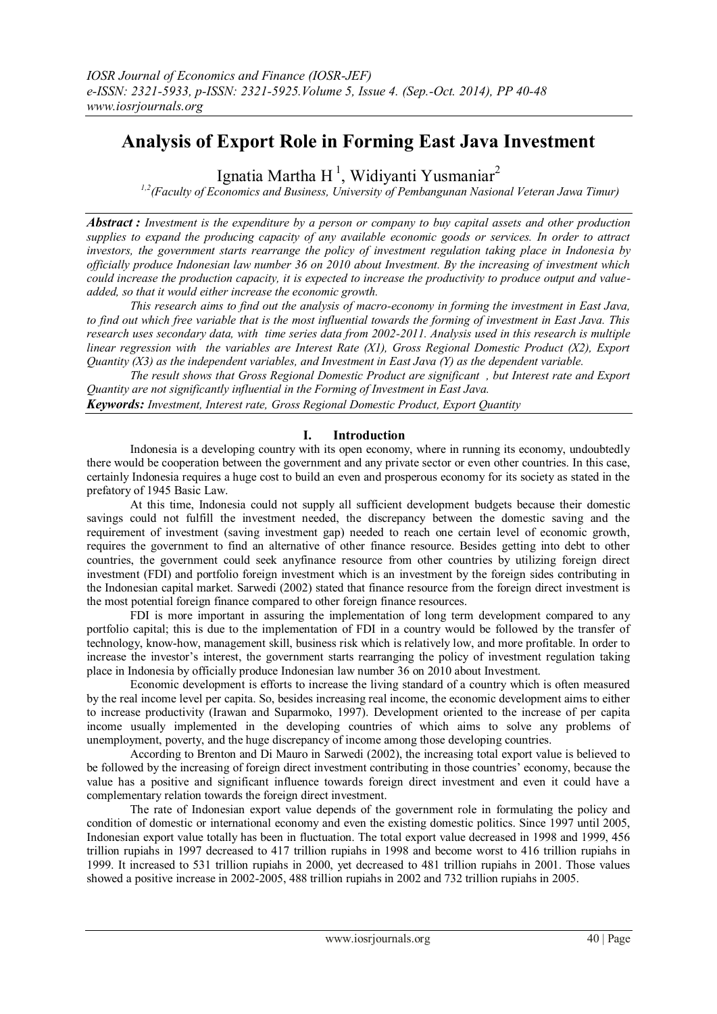# **Analysis of Export Role in Forming East Java Investment**

Ignatia Martha H<sup>1</sup>, Widiyanti Yusmaniar<sup>2</sup>

*1,2(Faculty of Economics and Business, University of Pembangunan Nasional Veteran Jawa Timur)*

*Abstract : Investment is the expenditure by a person or company to buy capital assets and other production supplies to expand the producing capacity of any available economic goods or services. In order to attract investors, the government starts rearrange the policy of investment regulation taking place in Indonesia by officially produce Indonesian law number 36 on 2010 about Investment. By the increasing of investment which could increase the production capacity, it is expected to increase the productivity to produce output and valueadded, so that it would either increase the economic growth.*

*This research aims to find out the analysis of macro-economy in forming the investment in East Java, to find out which free variable that is the most influential towards the forming of investment in East Java. This research uses secondary data, with time series data from 2002-2011. Analysis used in this research is multiple linear regression with the variables are Interest Rate (X1), Gross Regional Domestic Product (X2), Export Quantity (X3) as the independent variables, and Investment in East Java (Y) as the dependent variable.*

*The result shows that Gross Regional Domestic Product are significant , but Interest rate and Export Quantity are not significantly influential in the Forming of Investment in East Java. Keywords: Investment, Interest rate, Gross Regional Domestic Product, Export Quantity*

#### **I. Introduction**

Indonesia is a developing country with its open economy, where in running its economy, undoubtedly there would be cooperation between the government and any private sector or even other countries. In this case, certainly Indonesia requires a huge cost to build an even and prosperous economy for its society as stated in the prefatory of 1945 Basic Law.

At this time, Indonesia could not supply all sufficient development budgets because their domestic savings could not fulfill the investment needed, the discrepancy between the domestic saving and the requirement of investment (saving investment gap) needed to reach one certain level of economic growth, requires the government to find an alternative of other finance resource. Besides getting into debt to other countries, the government could seek anyfinance resource from other countries by utilizing foreign direct investment (FDI) and portfolio foreign investment which is an investment by the foreign sides contributing in the Indonesian capital market. Sarwedi (2002) stated that finance resource from the foreign direct investment is the most potential foreign finance compared to other foreign finance resources.

FDI is more important in assuring the implementation of long term development compared to any portfolio capital; this is due to the implementation of FDI in a country would be followed by the transfer of technology, know-how, management skill, business risk which is relatively low, and more profitable. In order to increase the investor's interest, the government starts rearranging the policy of investment regulation taking place in Indonesia by officially produce Indonesian law number 36 on 2010 about Investment.

Economic development is efforts to increase the living standard of a country which is often measured by the real income level per capita. So, besides increasing real income, the economic development aims to either to increase productivity (Irawan and Suparmoko, 1997). Development oriented to the increase of per capita income usually implemented in the developing countries of which aims to solve any problems of unemployment, poverty, and the huge discrepancy of income among those developing countries.

According to Brenton and Di Mauro in Sarwedi (2002), the increasing total export value is believed to be followed by the increasing of foreign direct investment contributing in those countries' economy, because the value has a positive and significant influence towards foreign direct investment and even it could have a complementary relation towards the foreign direct investment.

The rate of Indonesian export value depends of the government role in formulating the policy and condition of domestic or international economy and even the existing domestic politics. Since 1997 until 2005, Indonesian export value totally has been in fluctuation. The total export value decreased in 1998 and 1999, 456 trillion rupiahs in 1997 decreased to 417 trillion rupiahs in 1998 and become worst to 416 trillion rupiahs in 1999. It increased to 531 trillion rupiahs in 2000, yet decreased to 481 trillion rupiahs in 2001. Those values showed a positive increase in 2002-2005, 488 trillion rupiahs in 2002 and 732 trillion rupiahs in 2005.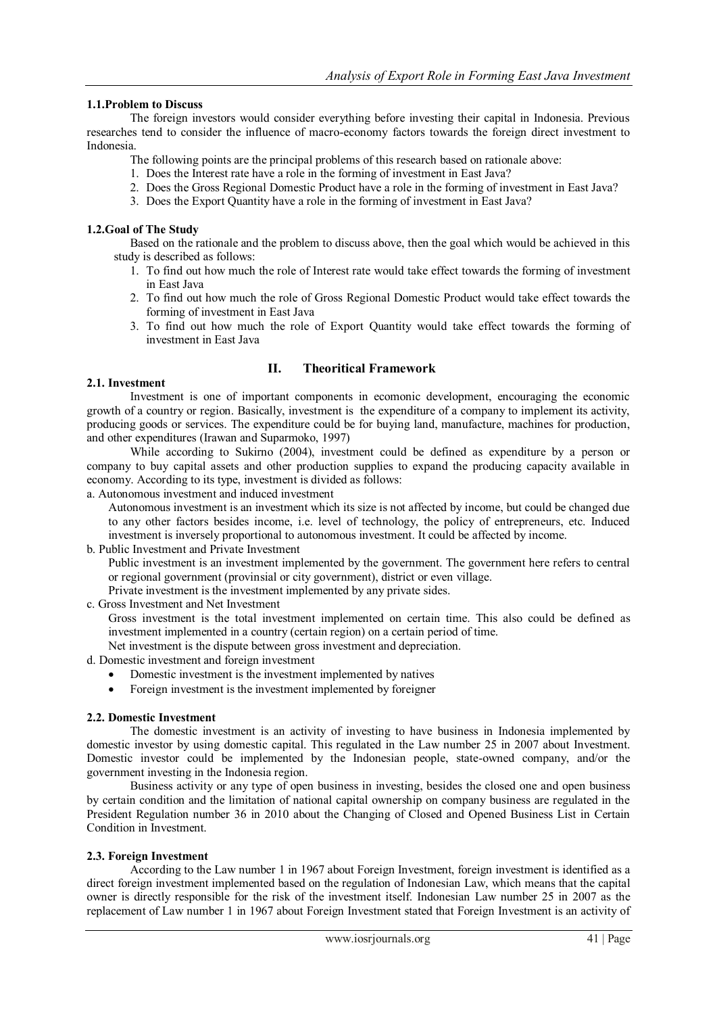#### **1.1.Problem to Discuss**

The foreign investors would consider everything before investing their capital in Indonesia. Previous researches tend to consider the influence of macro-economy factors towards the foreign direct investment to Indonesia.

- The following points are the principal problems of this research based on rationale above:
- 1. Does the Interest rate have a role in the forming of investment in East Java?
- 2. Does the Gross Regional Domestic Product have a role in the forming of investment in East Java?
- 3. Does the Export Quantity have a role in the forming of investment in East Java?

#### **1.2.Goal of The Study**

Based on the rationale and the problem to discuss above, then the goal which would be achieved in this study is described as follows:

- 1. To find out how much the role of Interest rate would take effect towards the forming of investment in East Java
- 2. To find out how much the role of Gross Regional Domestic Product would take effect towards the forming of investment in East Java
- 3. To find out how much the role of Export Quantity would take effect towards the forming of investment in East Java

#### **II. Theoritical Framework**

#### **2.1. Investment**

Investment is one of important components in ecomonic development, encouraging the economic growth of a country or region. Basically, investment is the expenditure of a company to implement its activity, producing goods or services. The expenditure could be for buying land, manufacture, machines for production, and other expenditures (Irawan and Suparmoko, 1997)

While according to Sukirno (2004), investment could be defined as expenditure by a person or company to buy capital assets and other production supplies to expand the producing capacity available in economy. According to its type, investment is divided as follows:

#### a. Autonomous investment and induced investment

Autonomous investment is an investment which its size is not affected by income, but could be changed due to any other factors besides income, i.e. level of technology, the policy of entrepreneurs, etc. Induced investment is inversely proportional to autonomous investment. It could be affected by income.

b. Public Investment and Private Investment

Public investment is an investment implemented by the government. The government here refers to central or regional government (provinsial or city government), district or even village.

- Private investment is the investment implemented by any private sides.
- c. Gross Investment and Net Investment

Gross investment is the total investment implemented on certain time. This also could be defined as investment implemented in a country (certain region) on a certain period of time.

Net investment is the dispute between gross investment and depreciation.

- d. Domestic investment and foreign investment
	- Domestic investment is the investment implemented by natives
	- Foreign investment is the investment implemented by foreigner

#### **2.2. Domestic Investment**

The domestic investment is an activity of investing to have business in Indonesia implemented by domestic investor by using domestic capital. This regulated in the Law number 25 in 2007 about Investment. Domestic investor could be implemented by the Indonesian people, state-owned company, and/or the government investing in the Indonesia region.

Business activity or any type of open business in investing, besides the closed one and open business by certain condition and the limitation of national capital ownership on company business are regulated in the President Regulation number 36 in 2010 about the Changing of Closed and Opened Business List in Certain Condition in Investment.

#### **2.3. Foreign Investment**

According to the Law number 1 in 1967 about Foreign Investment, foreign investment is identified as a direct foreign investment implemented based on the regulation of Indonesian Law, which means that the capital owner is directly responsible for the risk of the investment itself. Indonesian Law number 25 in 2007 as the replacement of Law number 1 in 1967 about Foreign Investment stated that Foreign Investment is an activity of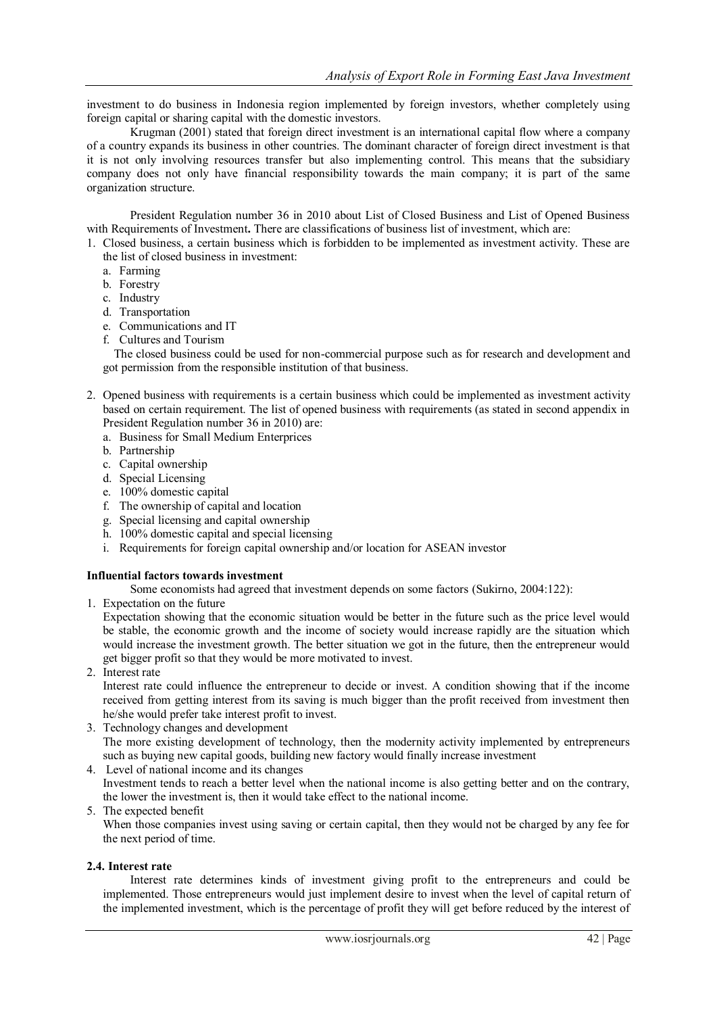investment to do business in Indonesia region implemented by foreign investors, whether completely using foreign capital or sharing capital with the domestic investors.

Krugman (2001) stated that foreign direct investment is an international capital flow where a company of a country expands its business in other countries. The dominant character of foreign direct investment is that it is not only involving resources transfer but also implementing control. This means that the subsidiary company does not only have financial responsibility towards the main company; it is part of the same organization structure.

President Regulation number 36 in 2010 about List of Closed Business and List of Opened Business with Requirements of Investment**.** There are classifications of business list of investment, which are:

1. Closed business, a certain business which is forbidden to be implemented as investment activity. These are the list of closed business in investment:

- a. Farming
- b. Forestry
- c. Industry
- d. Transportation
- e. Communications and IT
- f. Cultures and Tourism

The closed business could be used for non-commercial purpose such as for research and development and got permission from the responsible institution of that business.

- 2. Opened business with requirements is a certain business which could be implemented as investment activity based on certain requirement. The list of opened business with requirements (as stated in second appendix in President Regulation number 36 in 2010) are:
	- a. Business for Small Medium Enterprices
	- b. Partnership
	- c. Capital ownership
	- d. Special Licensing
	- e. 100% domestic capital
	- f. The ownership of capital and location
	- g. Special licensing and capital ownership
	- h. 100% domestic capital and special licensing
	- i. Requirements for foreign capital ownership and/or location for ASEAN investor

#### **Influential factors towards investment**

Some economists had agreed that investment depends on some factors (Sukirno, 2004:122):

1. Expectation on the future

Expectation showing that the economic situation would be better in the future such as the price level would be stable, the economic growth and the income of society would increase rapidly are the situation which would increase the investment growth. The better situation we got in the future, then the entrepreneur would get bigger profit so that they would be more motivated to invest.

2. Interest rate

Interest rate could influence the entrepreneur to decide or invest. A condition showing that if the income received from getting interest from its saving is much bigger than the profit received from investment then he/she would prefer take interest profit to invest.

- 3. Technology changes and development The more existing development of technology, then the modernity activity implemented by entrepreneurs such as buying new capital goods, building new factory would finally increase investment
- 4. Level of national income and its changes

Investment tends to reach a better level when the national income is also getting better and on the contrary, the lower the investment is, then it would take effect to the national income.

5. The expected benefit

When those companies invest using saving or certain capital, then they would not be charged by any fee for the next period of time.

#### **2.4. Interest rate**

Interest rate determines kinds of investment giving profit to the entrepreneurs and could be implemented. Those entrepreneurs would just implement desire to invest when the level of capital return of the implemented investment, which is the percentage of profit they will get before reduced by the interest of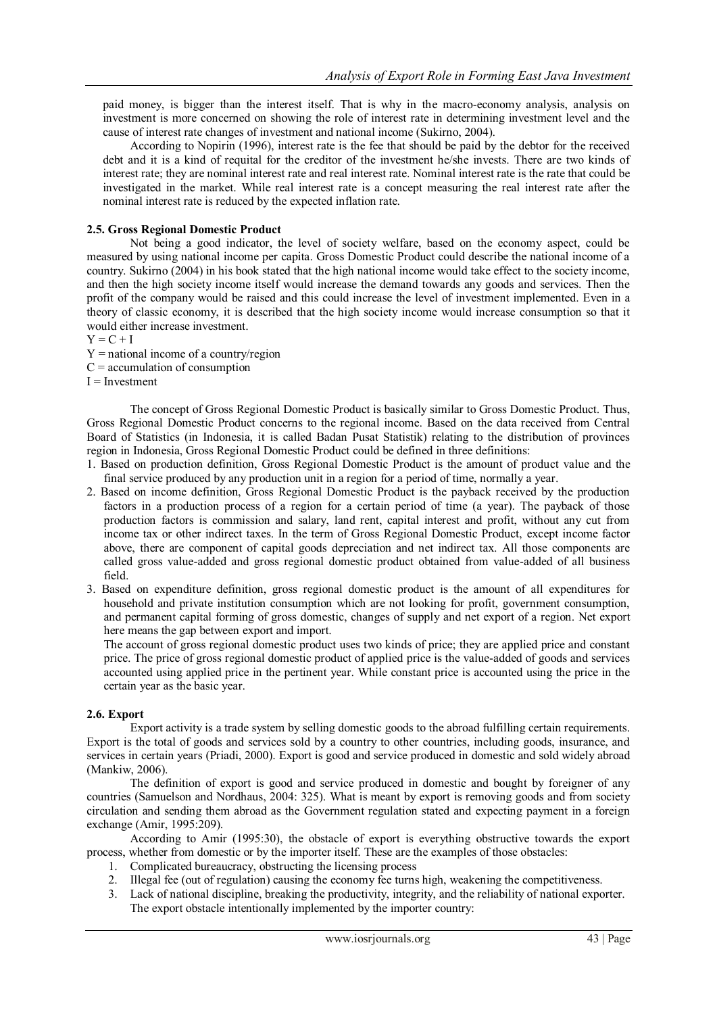paid money, is bigger than the interest itself. That is why in the macro-economy analysis, analysis on investment is more concerned on showing the role of interest rate in determining investment level and the cause of interest rate changes of investment and national income (Sukirno, 2004).

According to Nopirin (1996), interest rate is the fee that should be paid by the debtor for the received debt and it is a kind of requital for the creditor of the investment he/she invests. There are two kinds of interest rate; they are nominal interest rate and real interest rate. Nominal interest rate is the rate that could be investigated in the market. While real interest rate is a concept measuring the real interest rate after the nominal interest rate is reduced by the expected inflation rate.

#### **2.5. Gross Regional Domestic Product**

Not being a good indicator, the level of society welfare, based on the economy aspect, could be measured by using national income per capita. Gross Domestic Product could describe the national income of a country. Sukirno (2004) in his book stated that the high national income would take effect to the society income, and then the high society income itself would increase the demand towards any goods and services. Then the profit of the company would be raised and this could increase the level of investment implemented. Even in a theory of classic economy, it is described that the high society income would increase consumption so that it would either increase investment.

 $Y = C + I$ 

- $Y =$  national income of a country/region
- $C =$  accumulation of consumption

 $I =$ Investment

The concept of Gross Regional Domestic Product is basically similar to Gross Domestic Product. Thus, Gross Regional Domestic Product concerns to the regional income. Based on the data received from Central Board of Statistics (in Indonesia, it is called Badan Pusat Statistik) relating to the distribution of provinces region in Indonesia, Gross Regional Domestic Product could be defined in three definitions:

- 1. Based on production definition, Gross Regional Domestic Product is the amount of product value and the final service produced by any production unit in a region for a period of time, normally a year.
- 2. Based on income definition, Gross Regional Domestic Product is the payback received by the production factors in a production process of a region for a certain period of time (a year). The payback of those production factors is commission and salary, land rent, capital interest and profit, without any cut from income tax or other indirect taxes. In the term of Gross Regional Domestic Product, except income factor above, there are component of capital goods depreciation and net indirect tax. All those components are called gross value-added and gross regional domestic product obtained from value-added of all business field.
- 3. Based on expenditure definition, gross regional domestic product is the amount of all expenditures for household and private institution consumption which are not looking for profit, government consumption, and permanent capital forming of gross domestic, changes of supply and net export of a region. Net export here means the gap between export and import.

The account of gross regional domestic product uses two kinds of price; they are applied price and constant price. The price of gross regional domestic product of applied price is the value-added of goods and services accounted using applied price in the pertinent year. While constant price is accounted using the price in the certain year as the basic year.

#### **2.6. Export**

Export activity is a trade system by selling domestic goods to the abroad fulfilling certain requirements. Export is the total of goods and services sold by a country to other countries, including goods, insurance, and services in certain years (Priadi, 2000). Export is good and service produced in domestic and sold widely abroad (Mankiw, 2006).

The definition of export is good and service produced in domestic and bought by foreigner of any countries (Samuelson and Nordhaus, 2004: 325). What is meant by export is removing goods and from society circulation and sending them abroad as the Government regulation stated and expecting payment in a foreign exchange (Amir, 1995:209).

According to Amir (1995:30), the obstacle of export is everything obstructive towards the export process, whether from domestic or by the importer itself. These are the examples of those obstacles:

- 1. Complicated bureaucracy, obstructing the licensing process
- 2. Illegal fee (out of regulation) causing the economy fee turns high, weakening the competitiveness.
- 3. Lack of national discipline, breaking the productivity, integrity, and the reliability of national exporter. The export obstacle intentionally implemented by the importer country: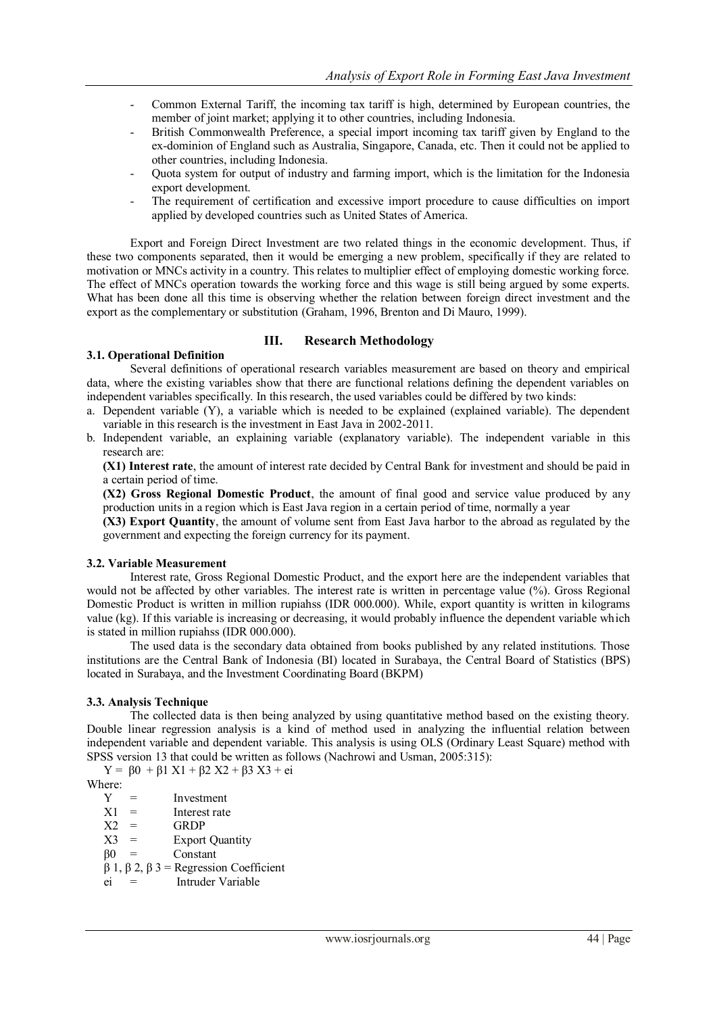- Common External Tariff, the incoming tax tariff is high, determined by European countries, the member of joint market; applying it to other countries, including Indonesia.
- British Commonwealth Preference, a special import incoming tax tariff given by England to the ex-dominion of England such as Australia, Singapore, Canada, etc. Then it could not be applied to other countries, including Indonesia.
- Quota system for output of industry and farming import, which is the limitation for the Indonesia export development.
- The requirement of certification and excessive import procedure to cause difficulties on import applied by developed countries such as United States of America.

Export and Foreign Direct Investment are two related things in the economic development. Thus, if these two components separated, then it would be emerging a new problem, specifically if they are related to motivation or MNCs activity in a country. This relates to multiplier effect of employing domestic working force. The effect of MNCs operation towards the working force and this wage is still being argued by some experts. What has been done all this time is observing whether the relation between foreign direct investment and the export as the complementary or substitution (Graham, 1996, Brenton and Di Mauro, 1999).

#### **III. Research Methodology**

#### **3.1. Operational Definition**

Several definitions of operational research variables measurement are based on theory and empirical data, where the existing variables show that there are functional relations defining the dependent variables on independent variables specifically. In this research, the used variables could be differed by two kinds:

- a. Dependent variable (Y), a variable which is needed to be explained (explained variable). The dependent variable in this research is the investment in East Java in 2002-2011.
- b. Independent variable, an explaining variable (explanatory variable). The independent variable in this research are:

**(X1) Interest rate**, the amount of interest rate decided by Central Bank for investment and should be paid in a certain period of time.

**(X2) Gross Regional Domestic Product**, the amount of final good and service value produced by any production units in a region which is East Java region in a certain period of time, normally a year

**(X3) Export Quantity**, the amount of volume sent from East Java harbor to the abroad as regulated by the government and expecting the foreign currency for its payment.

#### **3.2. Variable Measurement**

Interest rate, Gross Regional Domestic Product, and the export here are the independent variables that would not be affected by other variables. The interest rate is written in percentage value (%). Gross Regional Domestic Product is written in million rupiahss (IDR 000.000). While, export quantity is written in kilograms value (kg). If this variable is increasing or decreasing, it would probably influence the dependent variable which is stated in million rupiahss (IDR 000.000).

The used data is the secondary data obtained from books published by any related institutions. Those institutions are the Central Bank of Indonesia (BI) located in Surabaya, the Central Board of Statistics (BPS) located in Surabaya, and the Investment Coordinating Board (BKPM)

#### **3.3. Analysis Technique**

The collected data is then being analyzed by using quantitative method based on the existing theory. Double linear regression analysis is a kind of method used in analyzing the influential relation between independent variable and dependent variable. This analysis is using OLS (Ordinary Least Square) method with SPSS version 13 that could be written as follows (Nachrowi and Usman, 2005:315):

Y =  $β0 + β1 X1 + β2 X2 + β3 X3 + ei$ 

Where:

 $Y =$  Investment<br> $X1 =$ Interest rate Interest rate

- $X2 = GRDP$
- $X3 =$  Export Quantity<br> $\beta 0 =$  Constant
- Constant
- β 1, β 2, β 3 = Regression Coefficient
- ei = Intruder Variable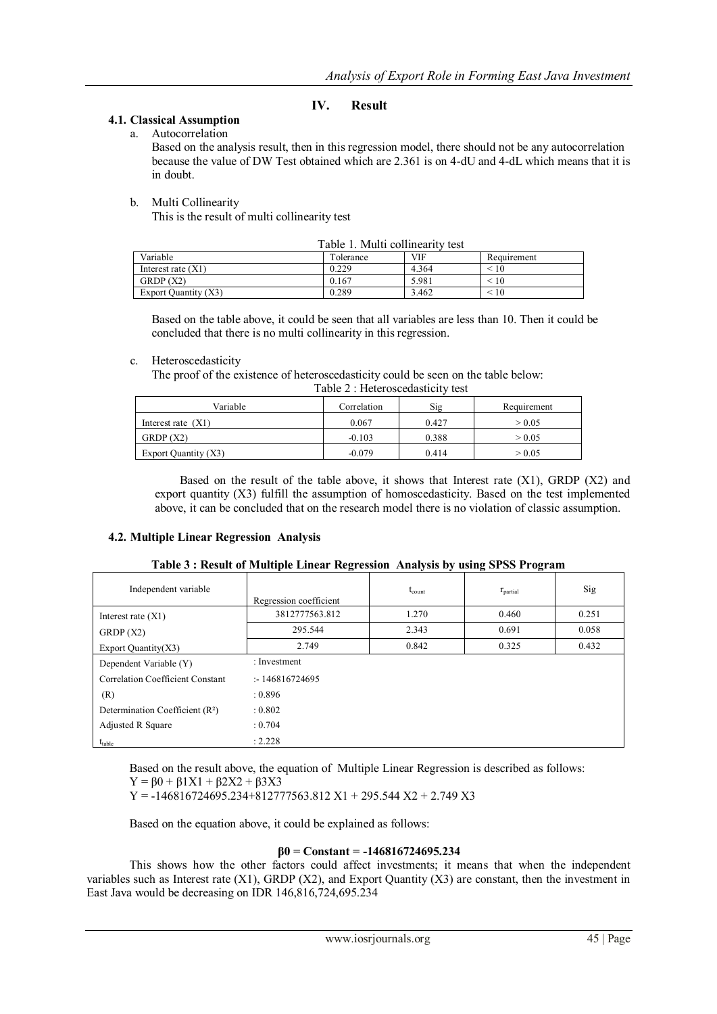### **IV. Result**

#### **4.1. Classical Assumption**

a. Autocorrelation

Based on the analysis result, then in this regression model, there should not be any autocorrelation because the value of DW Test obtained which are 2.361 is on 4-dU and 4-dL which means that it is in doubt.

#### b. Multi Collinearity

This is the result of multi collinearity test

| Table 1. Multi collinearity test |           |       |             |
|----------------------------------|-----------|-------|-------------|
| Variable                         | Tolerance | VIF   | Requirement |
| Interest rate $(X1)$             | 0.229     | 4.364 | < 10        |
| GRDP(X2)                         | 0.167     | 5.981 | < 10        |
| Export Quantity (X3)             | 0.289     | 3.462 | < 10        |

Based on the table above, it could be seen that all variables are less than 10. Then it could be concluded that there is no multi collinearity in this regression.

#### c. Heteroscedasticity

The proof of the existence of heteroscedasticity could be seen on the table below:

| Table 2 : Heteroscedasticity test |             |  |  |  |
|-----------------------------------|-------------|--|--|--|
| ble                               | Correlation |  |  |  |

| Variable             | Correlation | Sig   | Requirement |
|----------------------|-------------|-------|-------------|
| Interest rate $(X1)$ | 0.067       | 0.427 | > 0.05      |
| GRDP(X2)             | $-0.103$    | 0.388 | > 0.05      |
| Export Quantity (X3) | $-0.079$    | 0.414 | > 0.05      |

Based on the result of the table above, it shows that Interest rate  $(X1)$ , GRDP  $(X2)$  and export quantity (X3) fulfill the assumption of homoscedasticity. Based on the test implemented above, it can be concluded that on the research model there is no violation of classic assumption.

#### **4.2. Multiple Linear Regression Analysis**

| Table 3: Result of Multiple Linear Regression Analysis by using SPSS Program |  |
|------------------------------------------------------------------------------|--|
|------------------------------------------------------------------------------|--|

| Independent variable                        | Regression coefficient | $t_{\text{count}}$ | $r_{\text{partial}}$ | Sig   |
|---------------------------------------------|------------------------|--------------------|----------------------|-------|
| Interest rate $(X1)$                        | 3812777563.812         | 1.270              | 0.460                | 0.251 |
| GRDP(X2)                                    | 295.544                | 2.343              | 0.691                | 0.058 |
| Export Quantity $(X3)$                      | 2.749                  | 0.842              | 0.325                | 0.432 |
| Dependent Variable (Y)                      | : Investment           |                    |                      |       |
| Correlation Coefficient Constant            | : 146816724695         |                    |                      |       |
| (R)                                         | : 0.896                |                    |                      |       |
| Determination Coefficient (R <sup>2</sup> ) | : 0.802                |                    |                      |       |
| Adjusted R Square                           | : 0.704                |                    |                      |       |
| $t_{table}$                                 | : $2.228$              |                    |                      |       |

Based on the result above, the equation of Multiple Linear Regression is described as follows:

 $Y = \beta 0 + \beta 1X1 + \beta 2X2 + \beta 3X3$ 

 $Y = -146816724695.234 + 812777563.812 X1 + 295.544 X2 + 2.749 X3$ 

Based on the equation above, it could be explained as follows:

#### **β0 = Constant = -146816724695.234**

This shows how the other factors could affect investments; it means that when the independent variables such as Interest rate  $(X1)$ , GRDP  $(X2)$ , and Export Quantity  $(X3)$  are constant, then the investment in East Java would be decreasing on IDR 146,816,724,695.234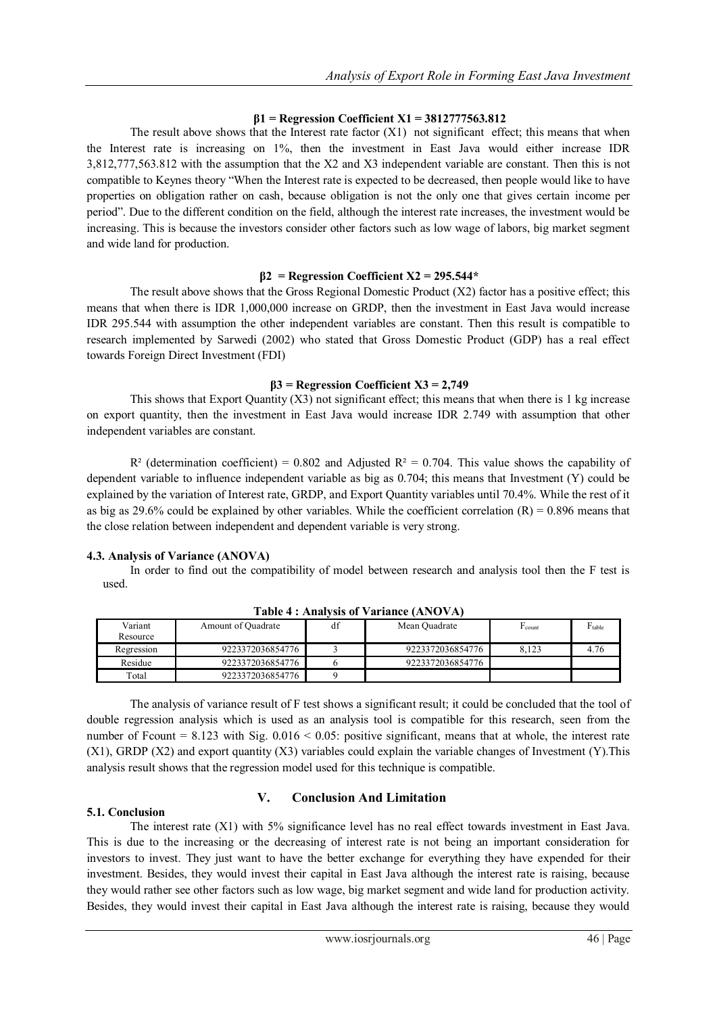#### **β1 = Regression Coefficient X1 = 3812777563.812**

The result above shows that the Interest rate factor (X1) not significant effect; this means that when the Interest rate is increasing on 1%, then the investment in East Java would either increase IDR 3,812,777,563.812 with the assumption that the X2 and X3 independent variable are constant. Then this is not compatible to Keynes theory "When the Interest rate is expected to be decreased, then people would like to have properties on obligation rather on cash, because obligation is not the only one that gives certain income per period". Due to the different condition on the field, although the interest rate increases, the investment would be increasing. This is because the investors consider other factors such as low wage of labors, big market segment and wide land for production.

#### **β2 = Regression Coefficient X2 = 295.544\***

The result above shows that the Gross Regional Domestic Product (X2) factor has a positive effect; this means that when there is IDR 1,000,000 increase on GRDP, then the investment in East Java would increase IDR 295.544 with assumption the other independent variables are constant. Then this result is compatible to research implemented by Sarwedi (2002) who stated that Gross Domestic Product (GDP) has a real effect towards Foreign Direct Investment (FDI)

#### **β3 = Regression Coefficient X3 = 2,749**

This shows that Export Quantity  $(X3)$  not significant effect; this means that when there is 1 kg increase on export quantity, then the investment in East Java would increase IDR 2.749 with assumption that other independent variables are constant.

 $R^2$  (determination coefficient) = 0.802 and Adjusted  $R^2 = 0.704$ . This value shows the capability of dependent variable to influence independent variable as big as 0.704; this means that Investment (Y) could be explained by the variation of Interest rate, GRDP, and Export Quantity variables until 70.4%. While the rest of it as big as 29.6% could be explained by other variables. While the coefficient correlation  $(R) = 0.896$  means that the close relation between independent and dependent variable is very strong.

# **4.3. Analysis of Variance (ANOVA)**

In order to find out the compatibility of model between research and analysis tool then the F test is used.

| Variant<br>Resource | Amount of Quadrate | df | Mean Quadrate    | <sup>L'</sup> count | $F_{table}$ |
|---------------------|--------------------|----|------------------|---------------------|-------------|
| Regression          | 9223372036854776   |    | 9223372036854776 | 8.123               | 4.76        |
| Residue             | 9223372036854776   |    | 9223372036854776 |                     |             |
| Total               | 9223372036854776   |    |                  |                     |             |

**Table 4 : Analysis of Variance (ANOVA)**

The analysis of variance result of F test shows a significant result; it could be concluded that the tool of double regression analysis which is used as an analysis tool is compatible for this research, seen from the number of Fcount  $= 8.123$  with Sig.  $0.016 \le 0.05$ : positive significant, means that at whole, the interest rate (X1), GRDP (X2) and export quantity (X3) variables could explain the variable changes of Investment (Y).This analysis result shows that the regression model used for this technique is compatible.

# **5.1. Conclusion**

# **V. Conclusion And Limitation**

The interest rate (X1) with 5% significance level has no real effect towards investment in East Java. This is due to the increasing or the decreasing of interest rate is not being an important consideration for investors to invest. They just want to have the better exchange for everything they have expended for their investment. Besides, they would invest their capital in East Java although the interest rate is raising, because they would rather see other factors such as low wage, big market segment and wide land for production activity. Besides, they would invest their capital in East Java although the interest rate is raising, because they would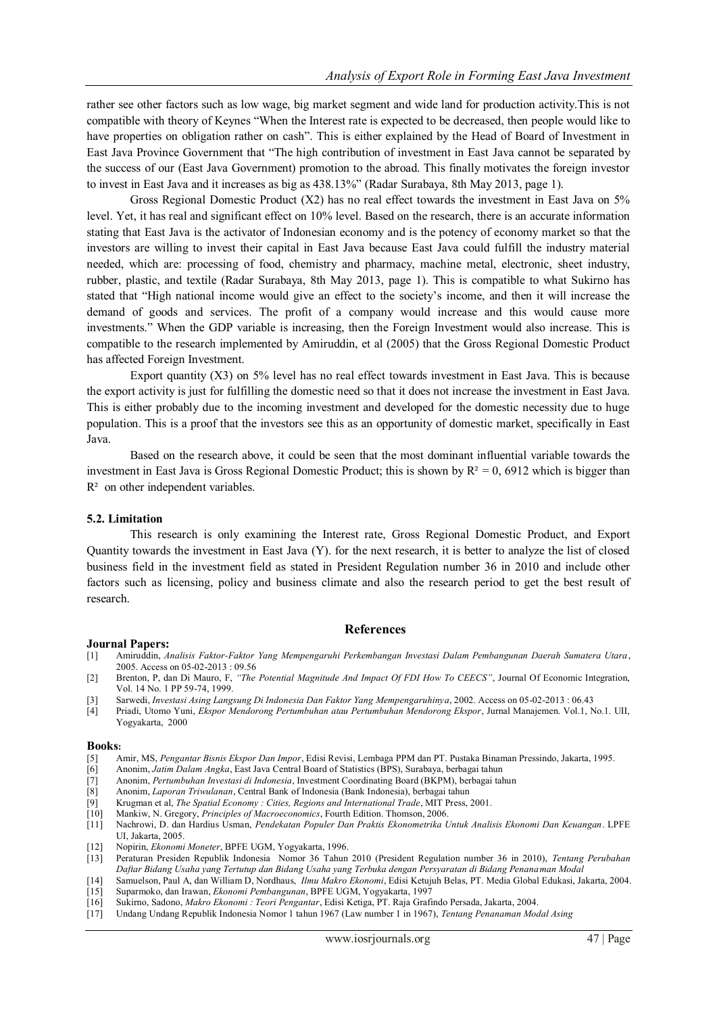rather see other factors such as low wage, big market segment and wide land for production activity.This is not compatible with theory of Keynes "When the Interest rate is expected to be decreased, then people would like to have properties on obligation rather on cash". This is either explained by the Head of Board of Investment in East Java Province Government that "The high contribution of investment in East Java cannot be separated by the success of our (East Java Government) promotion to the abroad. This finally motivates the foreign investor to invest in East Java and it increases as big as 438.13%" (Radar Surabaya, 8th May 2013, page 1).

Gross Regional Domestic Product  $(X2)$  has no real effect towards the investment in East Java on  $5\%$ level. Yet, it has real and significant effect on 10% level. Based on the research, there is an accurate information stating that East Java is the activator of Indonesian economy and is the potency of economy market so that the investors are willing to invest their capital in East Java because East Java could fulfill the industry material needed, which are: processing of food, chemistry and pharmacy, machine metal, electronic, sheet industry, rubber, plastic, and textile (Radar Surabaya, 8th May 2013, page 1). This is compatible to what Sukirno has stated that "High national income would give an effect to the society's income, and then it will increase the demand of goods and services. The profit of a company would increase and this would cause more investments." When the GDP variable is increasing, then the Foreign Investment would also increase. This is compatible to the research implemented by Amiruddin, et al (2005) that the Gross Regional Domestic Product has affected Foreign Investment.

Export quantity (X3) on 5% level has no real effect towards investment in East Java. This is because the export activity is just for fulfilling the domestic need so that it does not increase the investment in East Java. This is either probably due to the incoming investment and developed for the domestic necessity due to huge population. This is a proof that the investors see this as an opportunity of domestic market, specifically in East Java.

Based on the research above, it could be seen that the most dominant influential variable towards the investment in East Java is Gross Regional Domestic Product; this is shown by  $R^2 = 0$ , 6912 which is bigger than R<sup>2</sup> on other independent variables.

#### **5.2. Limitation**

This research is only examining the Interest rate, Gross Regional Domestic Product, and Export Quantity towards the investment in East Java (Y). for the next research, it is better to analyze the list of closed business field in the investment field as stated in President Regulation number 36 in 2010 and include other factors such as licensing, policy and business climate and also the research period to get the best result of research.

#### **References**

#### **Journal Papers:**

- [1] Amiruddin, *Analisis Faktor-Faktor Yang Mempengaruhi Perkembangan Investasi Dalam Pembangunan Daerah Sumatera Utara*, 2005. Access on 05-02-2013 : 09.56
- [2] Brenton, P, dan Di Mauro, F, *"The Potential Magnitude And Impact Of FDI How To CEECS"*, Journal Of Economic Integration, Vol. 14 No. 1 PP 59-74, 1999.
- [3] Sarwedi, *Investasi Asing Langsung Di Indonesia Dan Faktor Yang Mempengaruhinya*, 2002. Access on 05-02-2013 : 06.43
- [4] Priadi, Utomo Yuni, *Ekspor Mendorong Pertumbuhan atau Pertumbuhan Mendorong Ekspor*, Jurnal Manajemen. Vol.1, No.1. UII, Yogyakarta, 2000

#### **Books:**

- [5] Amir, MS, *Pengantar Bisnis Ekspor Dan Impor*, Edisi Revisi, Lembaga PPM dan PT. Pustaka Binaman Pressindo, Jakarta, 1995.
- [6] Anonim, *Jatim Dalam Angka*, East Java Central Board of Statistics (BPS), Surabaya, berbagai tahun
- [7] Anonim, *Pertumbuhan Investasi di Indonesia*, Investment Coordinating Board (BKPM), berbagai tahun
- [8] Anonim, *Laporan Triwulanan*, Central Bank of Indonesia (Bank Indonesia), berbagai tahun
- [9] Krugman et al, *The Spatial Economy : Cities, Regions and International Trade*, MIT Press, 2001.
- [10] Mankiw, N. Gregory, *Principles of Macroeconomics*, Fourth Edition. Thomson, 2006.
- [11] Nachrowi, D. dan Hardius Usman, *Pendekatan Populer Dan Praktis Ekonometrika Untuk Analisis Ekonomi Dan Keuangan*. LPFE UI, Jakarta, 2005.
- [12] Nopirin, *Ekonomi Moneter*, BPFE UGM, Yogyakarta, 1996.
- [13] Peraturan Presiden Republik Indonesia Nomor 36 Tahun 2010 (President Regulation number 36 in 2010), *Tentang Perubahan Daftar Bidang Usaha yang Tertutup dan Bidang Usaha yang Terbuka dengan Persyaratan di Bidang Penanaman Modal*
- [14] Samuelson, Paul A, dan William D, Nordhaus, *Ilmu Makro Ekonomi*, Edisi Ketujuh Belas, PT. Media Global Edukasi, Jakarta, 2004. [15] Suparmoko, dan Irawan, *Ekonomi Pembangunan*, BPFE UGM, Yogyakarta, 1997
- [16] Sukirno, Sadono, *Makro Ekonomi : Teori Pengantar*, Edisi Ketiga, PT. Raja Grafindo Persada, Jakarta, 2004.
- [17] Undang Undang Republik Indonesia Nomor 1 tahun 1967 (Law number 1 in 1967), *Tentang Penanaman Modal Asing*